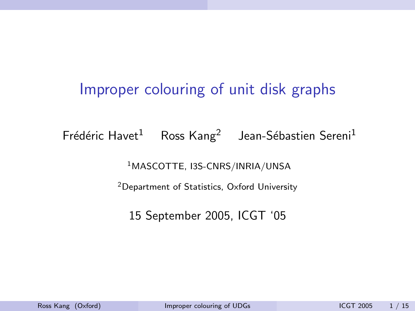# <span id="page-0-0"></span>Improper colouring of unit disk graphs

Frédéric Havet $^1$  Ross Kang<sup>2</sup> Jean-Sébastien Sereni<sup>1</sup>

<sup>1</sup>MASCOTTE, I3S-CNRS/INRIA/UNSA

<sup>2</sup>Department of Statistics, Oxford University

<span id="page-0-1"></span>15 September 2005, ICGT '05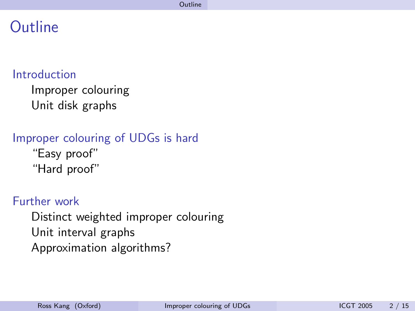## **Outline**

#### [Introduction](#page-2-0)

[Improper colouring](#page-2-0) [Unit disk graphs](#page-7-0)

#### [Improper colouring of UDGs is hard](#page-13-0) ["Easy proof"](#page-0-0) ["Hard proof"](#page-0-0)

#### [Further work](#page-0-0)

[Distinct weighted improper colouring](#page-0-0) [Unit interval graphs](#page-0-0) [Approximation algorithms?](#page-0-0)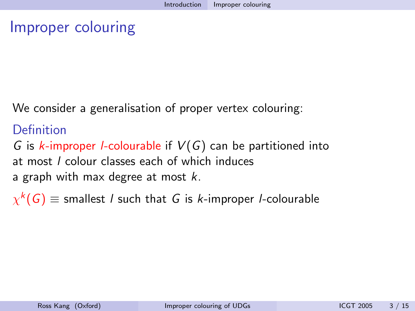### Improper colouring

We consider a generalisation of proper vertex colouring:

#### **Definition**

G is k-improper *l*-colourable if  $V(G)$  can be partitioned into at most l colour classes each of which induces a graph with max degree at most  $k$ .

<span id="page-2-0"></span> $\chi^k(\mathsf{G})\equiv$  smallest / such that  $\mathsf G$  is  $k$ -improper /-colourable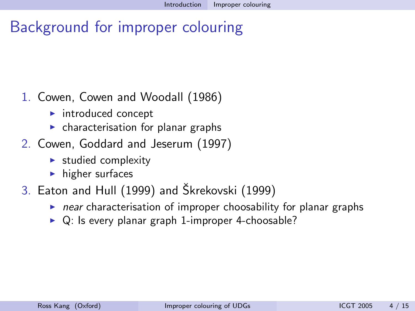# Background for improper colouring

#### 1. Cowen, Cowen and Woodall (1986)

- $\blacktriangleright$  introduced concept
- $\triangleright$  characterisation for planar graphs
- 2. Cowen, Goddard and Jeserum (1997)
	- $\blacktriangleright$  studied complexity
	- $\blacktriangleright$  higher surfaces
- 3. Eaton and Hull (1999) and Škrekovski (1999)
	- $\triangleright$  near characterisation of improper choosability for planar graphs
	- $\triangleright$  Q: Is every planar graph 1-improper 4-choosable?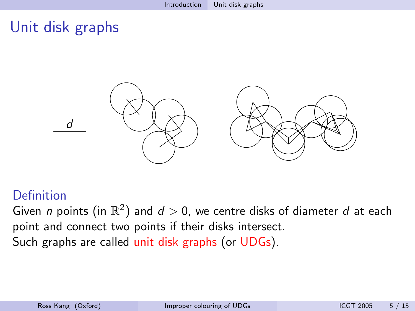## Unit disk graphs



#### Definition

Given n points (in  $\mathbb{R}^2$ ) and  $d>0$ , we centre disks of diameter  $d$  at each point and connect two points if their disks intersect. Such graphs are called unit disk graphs (or UDGs).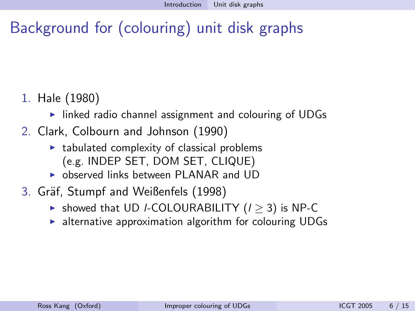# Background for (colouring) unit disk graphs

- 1. Hale (1980)
	- $\triangleright$  linked radio channel assignment and colouring of UDGs
- 2. Clark, Colbourn and Johnson (1990)
	- $\triangleright$  tabulated complexity of classical problems (e.g. INDEP SET, DOM SET, CLIQUE)
	- **I** observed links between PLANAR and UD
- 3. Gräf, Stumpf and Weißenfels (1998)
	- $\triangleright$  showed that UD *I*-COLOURABILITY ( $I > 3$ ) is NP-C
	- $\blacktriangleright$  alternative approximation algorithm for colouring UDGs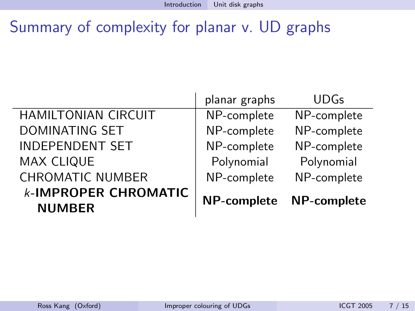# Summary of complexity for planar v. UD graphs

|                                              | planar graphs      | <b>UDGs</b> |
|----------------------------------------------|--------------------|-------------|
| <b>HAMILTONIAN CIRCUIT</b>                   | NP-complete        | NP-complete |
| <b>DOMINATING SET</b>                        | NP-complete        | NP-complete |
| <b>INDEPENDENT SET</b>                       | NP-complete        | NP-complete |
| <b>MAX CLIQUE</b>                            | Polynomial         | Polynomial  |
| <b>CHROMATIC NUMBER</b>                      | NP-complete        | NP-complete |
| <b>k-IMPROPER CHROMATIC</b><br><b>NUMBER</b> | <b>NP-complete</b> | NP-complete |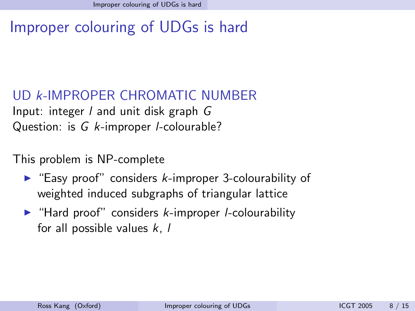# Improper colouring of UDGs is hard

UD k-IMPROPER CHROMATIC NUMBER Input: integer l and unit disk graph G Question: is G k-improper *l*-colourable?

This problem is NP-complete

- $\blacktriangleright$  "Easy proof" considers k-improper 3-colourability of weighted induced subgraphs of triangular lattice
- <span id="page-7-0"></span> $\blacktriangleright$  "Hard proof" considers *k*-improper *l*-colourability for all possible values  $k, l$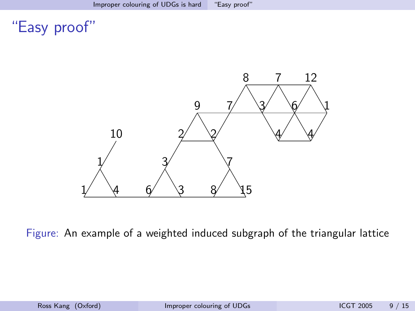# "Easy proof"



Figure: An example of a weighted induced subgraph of the triangular lattice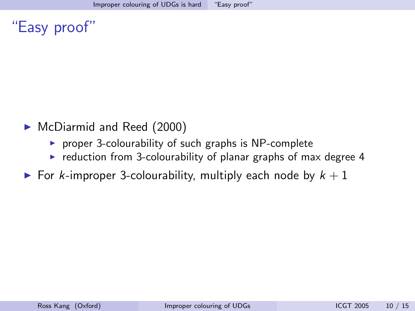"Easy proof"

- ▶ McDiarmid and Reed (2000)
	- $\triangleright$  proper 3-colourability of such graphs is NP-complete
	- $\triangleright$  reduction from 3-colourability of planar graphs of max degree 4
- For k-improper 3-colourability, multiply each node by  $k + 1$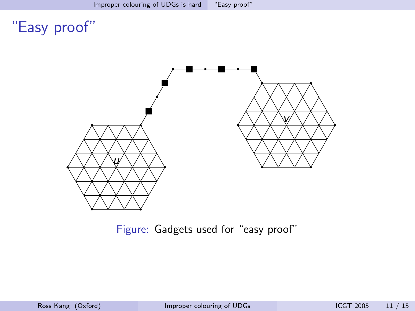# "Easy proof"



Figure: Gadgets used for "easy proof"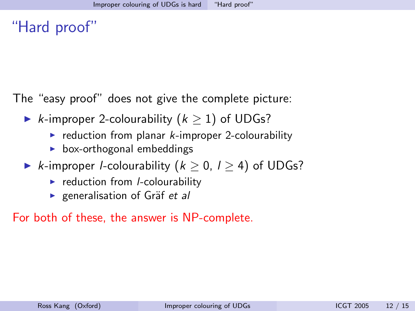## "Hard proof"

The "easy proof" does not give the complete picture:

- ► *k*-improper 2-colourability  $(k \ge 1)$  of UDGs?
	- $\triangleright$  reduction from planar *k*-improper 2-colourability
	- $\triangleright$  box-orthogonal embeddings
- ► k-improper *l*-colourability  $(k > 0, l > 4)$  of UDGs?
	- $\blacktriangleright$  reduction from *l*-colourability
	- **Exercicle** generalisation of Gräf et all

For both of these, the answer is NP-complete.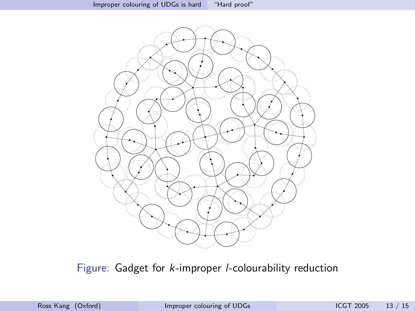

Figure: Gadget for k-improper l-colourability reduction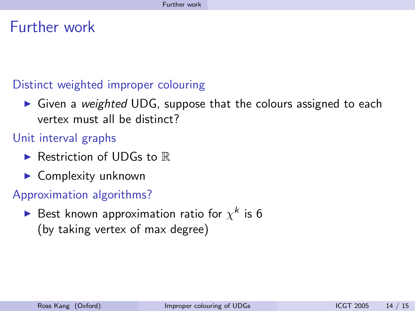## Further work

#### Distinct weighted improper colouring

 $\triangleright$  Given a weighted UDG, suppose that the colours assigned to each vertex must all be distinct?

#### Unit interval graphs

- Restriction of UDGs to  $\mathbb R$
- $\blacktriangleright$  Complexity unknown

#### Approximation algorithms?

<span id="page-13-0"></span> $\blacktriangleright$  Best known approximation ratio for  $\chi^k$  is 6 (by taking vertex of max degree)